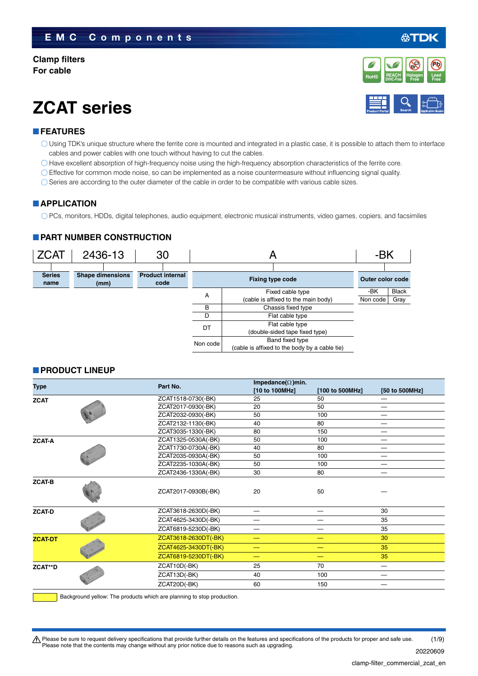#### **Clamp filters For cable**

## **ZCAT series**

#### **FEATURES**

- Using TDK's unique structure where the ferrite core is mounted and integrated in a plastic case, it is possible to attach them to interface cables and power cables with one touch without having to cut the cables.
- Have excellent absorption of high-frequency noise using the high-frequency absorption characteristics of the ferrite core.
- Effective for common mode noise, so can be implemented as a noise countermeasure without influencing signal quality.
- $\bigcirc$  Series are according to the outer diameter of the cable in order to be compatible with various cable sizes.

#### **APPLICATION**

PCs, monitors, HDDs, digital telephones, audio equipment, electronic musical instruments, video games, copiers, and facsimiles

#### **PART NUMBER CONSTRUCTION**



#### **PRODUCT LINEUP**

| Type           |                     | Part No.             | Impedance( $\Omega$ )min. |                 |                                 |  |  |
|----------------|---------------------|----------------------|---------------------------|-----------------|---------------------------------|--|--|
|                |                     |                      | [10 to 100MHz]            | [100 to 500MHz] | [50 to 500MHz]                  |  |  |
| <b>ZCAT</b>    |                     | ZCAT1518-0730(-BK)   | 25                        | 50              |                                 |  |  |
|                | ZCAT2017-0930(-BK)  | 20                   | 50                        |                 |                                 |  |  |
|                |                     | ZCAT2032-0930(-BK)   | 50                        | 100             |                                 |  |  |
|                |                     | ZCAT2132-1130(-BK)   | 40                        | 80              | $\hspace{0.1mm}-\hspace{0.1mm}$ |  |  |
|                |                     | ZCAT3035-1330(-BK)   | 80                        | 150             |                                 |  |  |
| <b>ZCAT-A</b>  |                     | ZCAT1325-0530A(-BK)  | 50                        | 100             | $\overline{\phantom{0}}$        |  |  |
|                |                     | ZCAT1730-0730A(-BK)  | 40                        | 80              |                                 |  |  |
|                |                     | ZCAT2035-0930A(-BK)  | 50                        | 100             |                                 |  |  |
|                | ZCAT2235-1030A(-BK) | 50                   | 100                       |                 |                                 |  |  |
|                |                     | ZCAT2436-1330A(-BK)  | 30                        | 80              |                                 |  |  |
| <b>ZCAT-B</b>  |                     | ZCAT2017-0930B(-BK)  | 20                        | 50              |                                 |  |  |
| <b>ZCAT-D</b>  |                     | ZCAT3618-2630D(-BK)  | —                         |                 | 30                              |  |  |
|                |                     | ZCAT4625-3430D(-BK)  |                           |                 | 35                              |  |  |
|                |                     | ZCAT6819-5230D(-BK)  |                           |                 | 35                              |  |  |
| <b>ZCAT-DT</b> |                     | ZCAT3618-2630DT(-BK) | –                         |                 | 30                              |  |  |
|                |                     | ZCAT4625-3430DT(-BK) |                           |                 | 35                              |  |  |
|                |                     | ZCAT6819-5230DT(-BK) | -                         | —               | 35                              |  |  |
| ZCAT**D        |                     | ZCAT10D(-BK)         | 25                        | 70              | $\overline{\phantom{0}}$        |  |  |
|                |                     | ZCAT13D(-BK)         | 40                        | 100             | $\overline{\phantom{0}}$        |  |  |
|                |                     | ZCAT20D(-BK)         | 60                        | 150             |                                 |  |  |
|                |                     |                      |                           |                 |                                 |  |  |

Background yellow: The products which are planning to stop production.

t Please be sure to request delivery specifications that provide further details on the features and specifications of the products for proper and safe use. Please note that the contents may change without any prior notice due to reasons such as upgrading. (1/9)

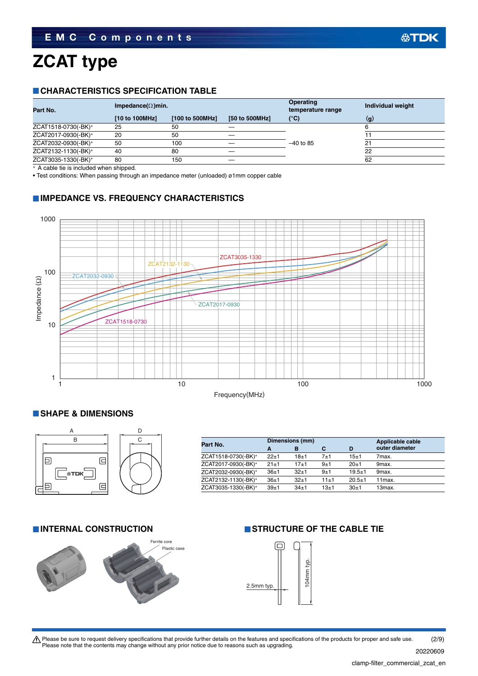# **ZCAT type**

#### **CHARACTERISTICS SPECIFICATION TABLE**

|                |                 |                           | <b>Operating</b><br>temperature range | Individual weight |
|----------------|-----------------|---------------------------|---------------------------------------|-------------------|
| [10 to 100MHz] | [100 to 500MHz] | [50 to 500MHz]            | (°C)                                  | $\mathbf{q}$      |
| 25             | 50              |                           |                                       |                   |
| 20             | 50              |                           |                                       |                   |
| 50             | 100             |                           | $-40$ to 85                           | 2.                |
| 40             | 80              |                           |                                       | 22                |
| 80             | 150             |                           |                                       | 62                |
|                |                 | Impedance( $\Omega$ )min. |                                       |                   |

A cable tie is included when shipped.

• Test conditions: When passing through an impedance meter (unloaded) ø1mm copper cable

#### **IMPEDANCE VS. FREQUENCY CHARACTERISTICS**



#### **SHAPE & DIMENSIONS**



| Part No.            |          | Dimensions (mm) |          | Applicable cable |                     |
|---------------------|----------|-----------------|----------|------------------|---------------------|
|                     | A        | в               | с        | D                | outer diameter      |
| ZCAT1518-0730(-BK)* | $22+1$   | $18 + 1$        | 7±1      | $15 + 1$         | 7max.               |
| ZCAT2017-0930(-BK)* | $21 + 1$ | $17 + 1$        | $9 + 1$  | $20+1$           | 9max.               |
| ZCAT2032-0930(-BK)* | $36 + 1$ | $32+1$          | $9 + 1$  | $19.5 + 1$       | 9max.               |
| ZCAT2132-1130(-BK)* | $36+1$   | $32+1$          | $11 + 1$ | $20.5 + 1$       | 11 <sub>max</sub>   |
| ZCAT3035-1330(-BK)* | $39 + 1$ | $34+1$          | $13 + 1$ | $30+1$           | 13 <sub>max</sub> . |



### **INTERNAL CONSTRUCTION STRUCTURE OF THE CABLE TIE**



Please be sure to request delivery specifications that provide further details on the features and specifications of the products for proper and safe use.<br>Please note that the contents may change without any prior notice d 20220609 (2/9)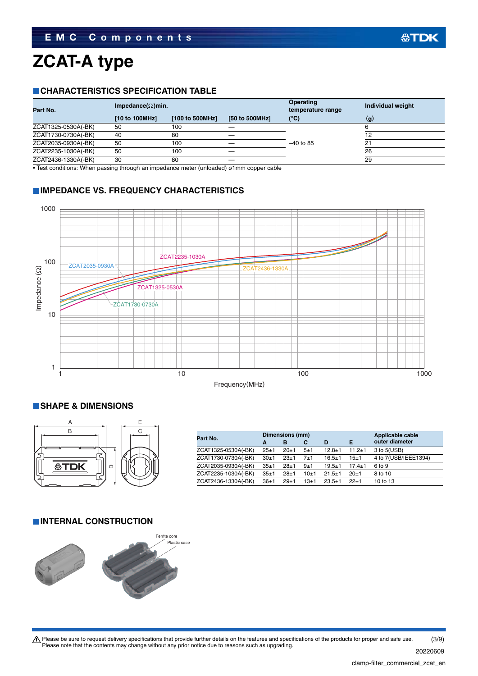# **ZCAT-A type**

#### **CHARACTERISTICS SPECIFICATION TABLE**

| Part No.            | Impedance( $\Omega$ )min. |                 |                | <b>Operating</b><br>temperature range | Individual weight |
|---------------------|---------------------------|-----------------|----------------|---------------------------------------|-------------------|
|                     | [10 to 100MHz]            | [100 to 500MHz] | [50 to 500MHz] | (°C)                                  | (g)               |
| ZCAT1325-0530A(-BK) | 50                        | 100             |                |                                       |                   |
| ZCAT1730-0730A(-BK) | 40                        | 80              |                |                                       |                   |
| ZCAT2035-0930A(-BK) | 50                        | 100             |                | $-40$ to 85                           | 2.                |
| ZCAT2235-1030A(-BK) | 50                        | 100             |                |                                       | 26                |
| ZCAT2436-1330A(-BK) | 30                        | 80              |                |                                       | 29                |
|                     |                           |                 |                |                                       |                   |

• Test conditions: When passing through an impedance meter (unloaded) ø1mm copper cable

#### **IMPEDANCE VS. FREQUENCY CHARACTERISTICS**



#### **SHAPE & DIMENSIONS**



| Part No.            |          | Dimensions (mm) |          | Applicable cable |              |                      |
|---------------------|----------|-----------------|----------|------------------|--------------|----------------------|
|                     | A        | в               | С        | D                | Е            | outer diameter       |
| ZCAT1325-0530A(-BK) | $25 + 1$ | 20±1            | 5±1      | $12.8 + 1$       | $11.2 \pm 1$ | $3$ to $5(USB)$      |
| ZCAT1730-0730A(-BK) | $30+1$   | $23 + 1$        | 7±1      | $16.5 \pm 1$     | 15±1         | 4 to 7(USB/IEEE1394) |
| ZCAT2035-0930A(-BK) | $35 + 1$ | $28 + 1$        | 9±1      | $19.5 + 1$       | $17.4 + 1$   | 6 to 9               |
| ZCAT2235-1030A(-BK) | $35 + 1$ | $28 + 1$        | $10+1$   | $21.5 \pm 1$     | $20+1$       | 8 to 10              |
| ZCAT2436-1330A(-BK) | $36+1$   | $29+1$          | $13 + 1$ | $23.5 + 1$       | $22+1$       | 10 to 13             |

#### **INTERNAL CONSTRUCTION**



Please be sure to request delivery specifications that provide further details on the features and specifications of the products for proper and safe use.<br>Please note that the contents may change without any prior notice d (3/9)

20220609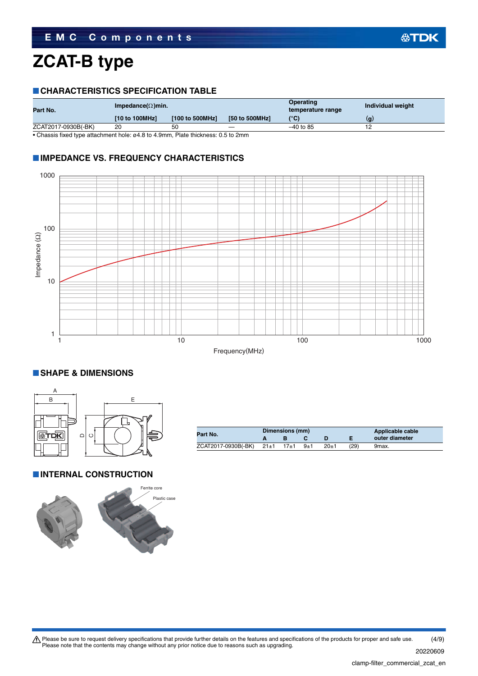### **ZCAT-B type**

#### **CHARACTERISTICS SPECIFICATION TABLE**

| Part No.            | Impedance( $\Omega$ )min. |                 |                                 | Operating<br>temperature range | Individual weight |
|---------------------|---------------------------|-----------------|---------------------------------|--------------------------------|-------------------|
|                     | [10 to 100MHz]            | [100 to 500MHz] | [50 to 500MHz]                  | $(^{\circ}C)$                  | (g)               |
| ZCAT2017-0930B(-BK) | 20                        | 50              | $\hspace{0.1mm}-\hspace{0.1mm}$ | $-40$ to 85                    |                   |
| $ -$<br>.           | .<br>.                    |                 | - - - -                         |                                |                   |

• Chassis fixed type attachment hole: ø4.8 to 4.9mm, Plate thickness: 0.5 to 2mm

#### **IMPEDANCE VS. FREQUENCY CHARACTERISTICS**



#### **SHAPE & DIMENSIONS**



**INTERNAL CONSTRUCTION** 



|                            | Dimensions (mm) |         |          | Applicable cable |                |
|----------------------------|-----------------|---------|----------|------------------|----------------|
| Part No.                   |                 |         |          |                  | outer diameter |
| $ZCAT2017-0930B(-BK)$ 21±1 | $17 + 1$        | $9 + 1$ | $20 + 1$ | (29)             | 9max.          |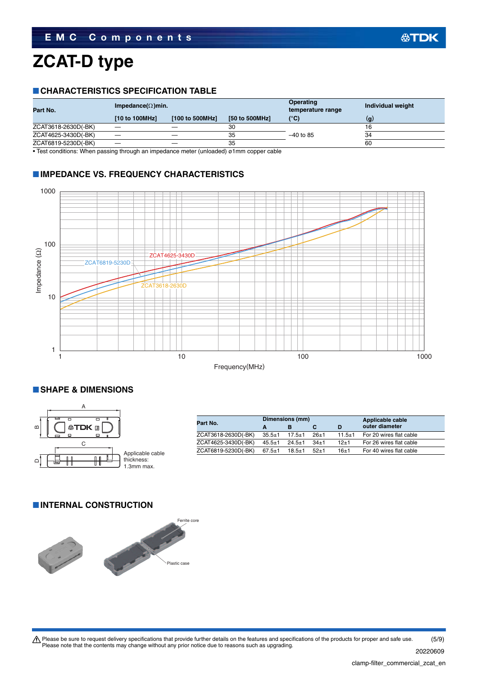### **ZCAT-D type**

#### **CHARACTERISTICS SPECIFICATION TABLE**

| Part No.            | Impedance( $\Omega$ )min. |                 |                | Operating<br>temperature range | Individual weight |
|---------------------|---------------------------|-----------------|----------------|--------------------------------|-------------------|
|                     | [10 to 100MHz]            | [100 to 500MHz] | [50 to 500MHz] | (°C)                           | (q)               |
| ZCAT3618-2630D(-BK) |                           |                 | 30             |                                |                   |
| ZCAT4625-3430D(-BK) |                           |                 | 35             | $-40$ to 85                    | 34                |
| ZCAT6819-5230D(-BK) |                           |                 | 35             |                                | 60                |

• Test conditions: When passing through an impedance meter (unloaded) ø1mm copper cable

#### **IMPEDANCE VS. FREQUENCY CHARACTERISTICS**



#### **SHAPE & DIMENSIONS**



| Part No.            |              | Dimensions (mm) |        | Applicable cable |                         |
|---------------------|--------------|-----------------|--------|------------------|-------------------------|
|                     | A            |                 |        |                  | outer diameter          |
| ZCAT3618-2630D(-BK) | $35.5 \pm 1$ | $17.5 + 1$      | $26+1$ | $11.5 \pm 1$     | For 20 wires flat cable |
| ZCAT4625-3430D(-BK) | $45.5 \pm 1$ | $24.5 + 1$      | $34+1$ | $12 + 1$         | For 26 wires flat cable |
| ZCAT6819-5230D(-BK) | $67.5 \pm 1$ | $18.5 + 1$      | $52+1$ | $16 + 1$         | For 40 wires flat cable |

#### **INTERNAL CONSTRUCTION**

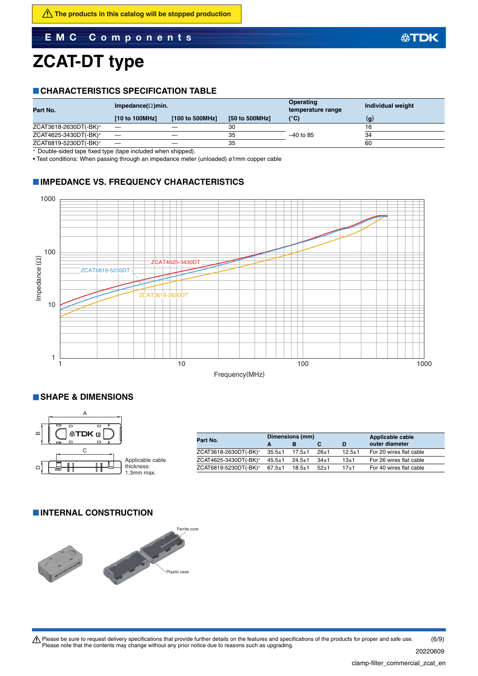**EMC Components**

### **ZCAT-DT type**

#### **CHARACTERISTICS SPECIFICATION TABLE**

| Part No.              | Impedance( $\Omega$ )min. |                 |                | <b>Operating</b><br>temperature range | Individual weight |
|-----------------------|---------------------------|-----------------|----------------|---------------------------------------|-------------------|
|                       | [10 to 100MHz]            | [100 to 500MHz] | [50 to 500MHz] | $(^{\circ}C)$                         | (g                |
| ZCAT3618-2630DT(-BK)* |                           |                 | 30             |                                       |                   |
| ZCAT4625-3430DT(-BK)* |                           |                 | 35             | $-40$ to 85                           | 34                |
| ZCAT6819-5230DT(-BK)* |                           |                 | 35             |                                       | 60                |
|                       |                           |                 |                |                                       |                   |

Double-sided tape fixed type (tape included when shipped).

• Test conditions: When passing through an impedance meter (unloaded) ø1mm copper cable

#### **IMPEDANCE VS. FREQUENCY CHARACTERISTICS**



#### **SHAPE & DIMENSIONS**



| Part No.              |              | Dimensions (mm) |        | Applicable cable |                         |
|-----------------------|--------------|-----------------|--------|------------------|-------------------------|
|                       | A            |                 |        |                  | outer diameter          |
| ZCAT3618-2630DT(-BK)* | $35.5 \pm 1$ | $17.5 \pm 1$    | $26+1$ | $12.5 \pm 1$     | For 20 wires flat cable |
| ZCAT4625-3430DT(-BK)* | $45.5 \pm 1$ | $24.5 \pm 1$    | $34+1$ | 13±1             | For 26 wires flat cable |
| ZCAT6819-5230DT(-BK)* | $67.5 \pm 1$ | $18.5 + 1$      | $52+1$ | $17 + 1$         | For 40 wires flat cable |

#### **INTERNAL CONSTRUCTION**



Please be sure to request delivery specifications that provide further details on the features and specifications of the products for proper and safe use.<br>Please note that the contents may change without any prior notice d (6/9)

20220609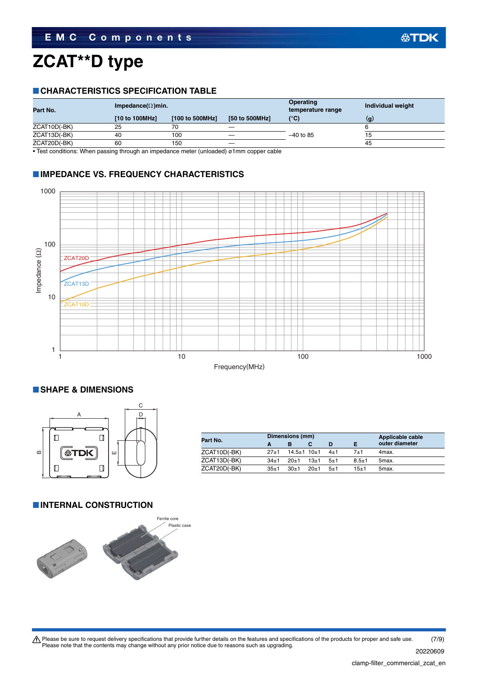# **ZCAT\*\*D type**

#### **CHARACTERISTICS SPECIFICATION TABLE**

| Part No.     | Impedance( $\Omega$ )min. |                 |                | <b>Operating</b><br>temperature range | Individual weight |
|--------------|---------------------------|-----------------|----------------|---------------------------------------|-------------------|
|              | [10 to 100MHz]            | [100 to 500MHz] | [50 to 500MHz] | $(^{\circ}C)$                         | (q)               |
| ZCAT10D(-BK) | 25                        | 70              |                |                                       |                   |
| ZCAT13D(-BK) | 40                        | 100             |                | $-40$ to 85                           |                   |
| ZCAT20D(-BK) | 60                        | 150             |                |                                       | 45                |

• Test conditions: When passing through an impedance meter (unloaded) ø1mm copper cable

#### **IMPEDANCE VS. FREQUENCY CHARACTERISTICS**



#### **SHAPE & DIMENSIONS**



| Part No.     |          | Dimensions (mm)         |        | Applicable cable |           |                    |
|--------------|----------|-------------------------|--------|------------------|-----------|--------------------|
|              |          | в                       |        |                  |           | outer diameter     |
| ZCAT10D(-BK) | $27 + 1$ | $14.5 \pm 1$ 10 $\pm$ 1 |        | $4\pm1$          | 7+1       | 4max.              |
| ZCAT13D(-BK) | $34+1$   | $20+1$                  | $13+1$ | $-5+1$           | $8.5 + 1$ | 5max.              |
| ZCAT20D(-BK) | $35 + 1$ | $30+1$                  | $20+1$ | $-5+1$           | $15 + 1$  | 5 <sub>max</sub> . |

#### **INTERNAL CONSTRUCTION**



Please be sure to request delivery specifications that provide further details on the features and specifications of the products for proper and safe use.<br>Please note that the contents may change without any prior notice d (7/9)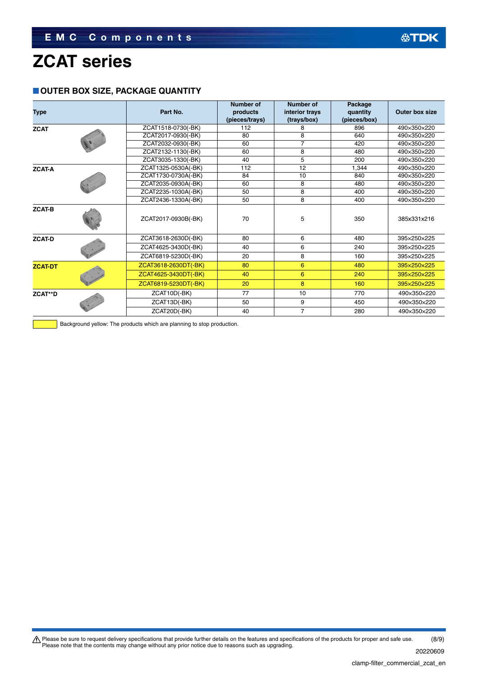### **ZCAT series**

#### **OUTER BOX SIZE, PACKAGE QUANTITY**

| <b>Type</b>    |  | Part No.             | <b>Number of</b><br>products | Number of<br>interior trays | Package<br>quantity | Outer box size |
|----------------|--|----------------------|------------------------------|-----------------------------|---------------------|----------------|
|                |  |                      | (pieces/trays)               | (trays/box)                 | (pieces/box)        |                |
| <b>ZCAT</b>    |  | ZCAT1518-0730(-BK)   | 112                          |                             | 896                 | 490×350×220    |
|                |  | ZCAT2017-0930(-BK)   | 80                           | 8                           | 640                 | 490×350×220    |
|                |  | ZCAT2032-0930(-BK)   | 60                           |                             | 420                 | 490×350×220    |
|                |  | ZCAT2132-1130(-BK)   | 60                           | 8                           | 480                 | 490×350×220    |
|                |  | ZCAT3035-1330(-BK)   | 40                           | 5                           | 200                 | 490×350×220    |
| <b>ZCAT-A</b>  |  | ZCAT1325-0530A(-BK)  | 112                          | 12                          | 1.344               | 490×350×220    |
|                |  | ZCAT1730-0730A(-BK)  | 84                           | 10                          | 840                 | 490×350×220    |
|                |  | ZCAT2035-0930A(-BK)  | 60                           | 8                           | 480                 | 490×350×220    |
|                |  | ZCAT2235-1030A(-BK)  | 50                           | 8                           | 400                 | 490×350×220    |
|                |  | ZCAT2436-1330A(-BK)  | 50                           | 8                           | 400                 | 490×350×220    |
| <b>ZCAT-B</b>  |  | ZCAT2017-0930B(-BK)  | 70                           | 5                           | 350                 | 385x331x216    |
| <b>ZCAT-D</b>  |  | ZCAT3618-2630D(-BK)  | 80                           | 6                           | 480                 | 395×250×225    |
|                |  | ZCAT4625-3430D(-BK)  | 40                           | 6                           | 240                 | 395×250×225    |
|                |  | ZCAT6819-5230D(-BK)  | 20                           | 8                           | 160                 | 395×250×225    |
| <b>ZCAT-DT</b> |  | ZCAT3618-2630DT(-BK) | 80                           | 6                           | 480                 | 395×250×225    |
|                |  | ZCAT4625-3430DT(-BK) | 40                           | 6                           | 240                 | 395×250×225    |
|                |  | ZCAT6819-5230DT(-BK) | 20                           | 8                           | 160                 | 395×250×225    |
| ZCAT**D        |  | ZCAT10D(-BK)         | 77                           | 10                          | 770                 | 490×350×220    |
|                |  | ZCAT13D(-BK)         | 50                           | 9                           | 450                 | 490×350×220    |
|                |  | ZCAT20D(-BK)         | 40                           | $\overline{7}$              | 280                 | 490×350×220    |

Background yellow: The products which are planning to stop production.

Please be sure to request delivery specifications that provide further details on the features and specifications of the products for proper and safe use.<br>Please note that the contents may change without any prior notice d (8/9)

20220609